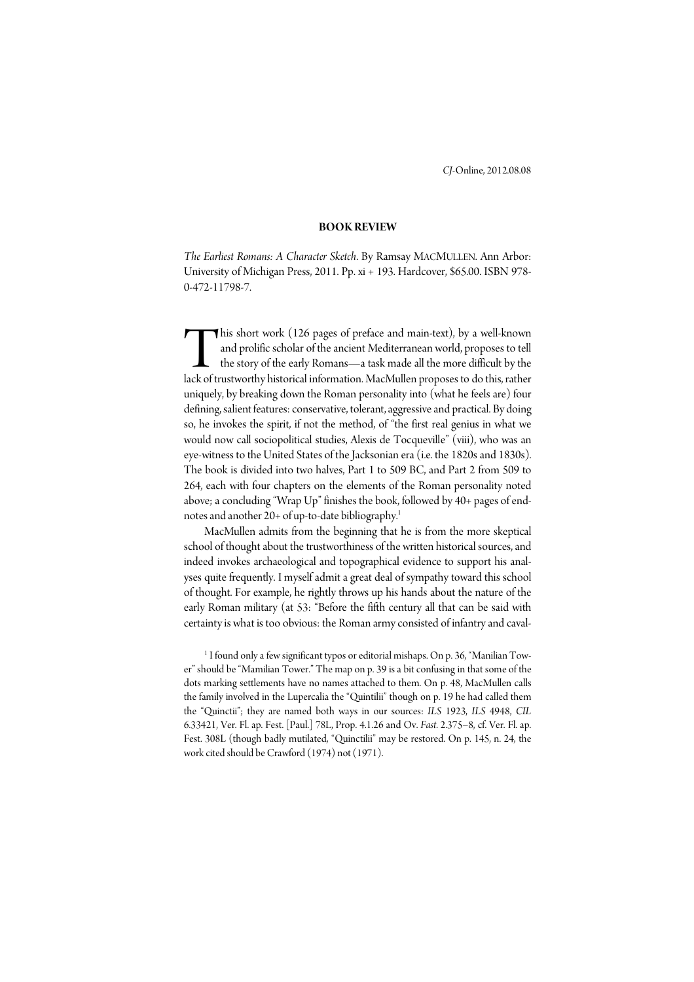*CJ*-Online, 2012.08.08

## **BOOK REVIEW**

*The Earliest Romans: A Character Sketch*. By Ramsay MACMULLEN. Ann Arbor: University of Michigan Press, 2011. Pp. xi + 193. Hardcover, \$65.00. ISBN 978- 0-472-11798-7.

his short work (126 pages of preface and main-text), by a well-known and prolific scholar of the ancient Mediterranean world, proposes to tell the story of the early Romans—a task made all the more difficult by the his short work (126 pages of preface and main-text), by a well-known and prolific scholar of the ancient Mediterranean world, proposes to tell the story of the early Romans—a task made all the more difficult by the lack of uniquely, by breaking down the Roman personality into (what he feels are) four defining, salient features: conservative, tolerant, aggressive and practical. By doing so, he invokes the spirit, if not the method, of "the first real genius in what we would now call sociopolitical studies, Alexis de Tocqueville" (viii), who was an eye-witness to the United States of the Jacksonian era (i.e. the 1820s and 1830s). The book is divided into two halves, Part 1 to 509 BC, and Part 2 from 509 to 264, each with four chapters on the elements of the Roman personality noted above; a concluding "Wrap Up" finishes the book, followed by 40+ pages of endnotes and another 20+ of up-to-date bibliography.<sup>1</sup>

 MacMullen admits from the beginning that he is from the more skeptical school of thought about the trustworthiness of the written historical sources, and indeed invokes archaeological and topographical evidence to support his analyses quite frequently. I myself admit a great deal of sympathy toward this school of thought. For example, he rightly throws up his hands about the nature of the early Roman military (at 53: "Before the fifth century all that can be said with certainty is what is too obvious: the Roman army consisted of infantry and caval-

 $^{\rm 1}$  I found only a few significant typos or editorial mishaps. On p. 36, "Manilian Tower" should be "Mamilian Tower." The map on p. 39 is a bit confusing in that some of the dots marking settlements have no names attached to them. On p. 48, MacMullen calls the family involved in the Lupercalia the "Quintilii" though on p. 19 he had called them the "Quinctii"; they are named both ways in our sources: *ILS* 1923, *ILS* 4948, *CIL* 6.33421, Ver. Fl. ap. Fest. [Paul.] 78L, Prop. 4.1.26 and Ov. *Fast*. 2.375–8, cf. Ver. Fl. ap. Fest. 308L (though badly mutilated, "Quinctilii" may be restored. On p. 145, n. 24, the work cited should be Crawford (1974) not (1971).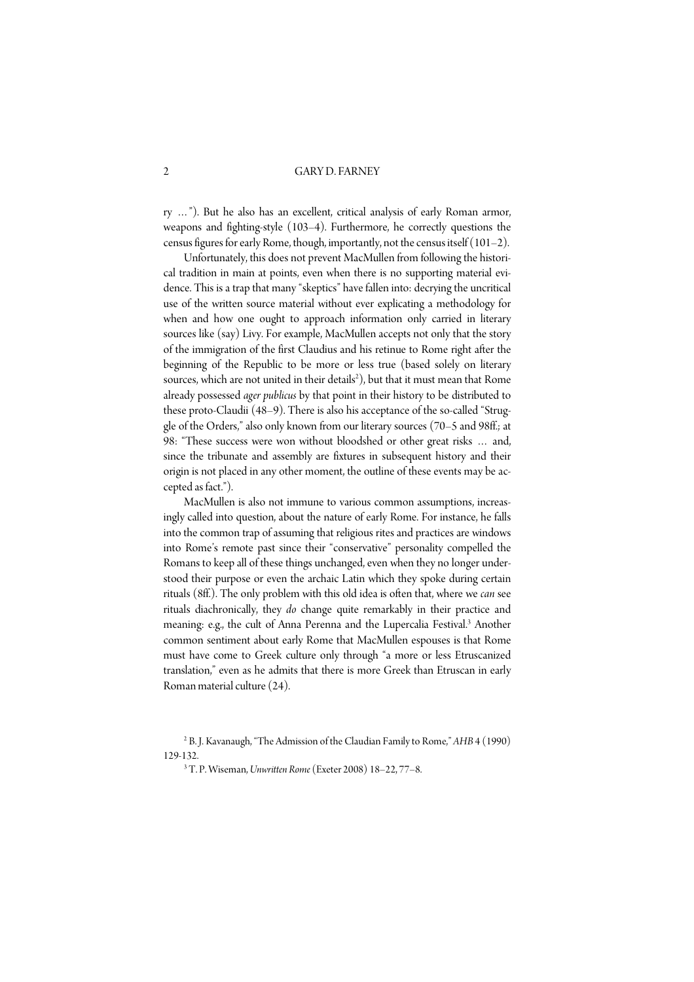2 GARY D. FARNEY

ry …"). But he also has an excellent, critical analysis of early Roman armor, weapons and fighting-style (103–4). Furthermore, he correctly questions the census figures for early Rome, though, importantly, not the census itself (101–2).

 Unfortunately, this does not prevent MacMullen from following the historical tradition in main at points, even when there is no supporting material evidence. This is a trap that many "skeptics" have fallen into: decrying the uncritical use of the written source material without ever explicating a methodology for when and how one ought to approach information only carried in literary sources like (say) Livy. For example, MacMullen accepts not only that the story of the immigration of the first Claudius and his retinue to Rome right after the beginning of the Republic to be more or less true (based solely on literary sources, which are not united in their details<sup>2</sup>), but that it must mean that Rome already possessed *ager publicus* by that point in their history to be distributed to these proto-Claudii (48–9). There is also his acceptance of the so-called "Struggle of the Orders," also only known from our literary sources (70–5 and 98ff.; at 98: "These success were won without bloodshed or other great risks … and, since the tribunate and assembly are fixtures in subsequent history and their origin is not placed in any other moment, the outline of these events may be accepted as fact.").

 MacMullen is also not immune to various common assumptions, increasingly called into question, about the nature of early Rome. For instance, he falls into the common trap of assuming that religious rites and practices are windows into Rome's remote past since their "conservative" personality compelled the Romans to keep all of these things unchanged, even when they no longer understood their purpose or even the archaic Latin which they spoke during certain rituals (8ff.). The only problem with this old idea is often that, where we *can* see rituals diachronically, they *do* change quite remarkably in their practice and meaning: e.g., the cult of Anna Perenna and the Lupercalia Festival.<sup>3</sup> Another common sentiment about early Rome that MacMullen espouses is that Rome must have come to Greek culture only through "a more or less Etruscanized translation," even as he admits that there is more Greek than Etruscan in early Roman material culture (24).

3 T. P. Wiseman, *Unwritten Rome* (Exeter 2008) 18–22, 77–8.

<sup>2</sup> B. J. Kavanaugh, "The Admission of the Claudian Family to Rome," *AHB* 4 (1990) 129-132.